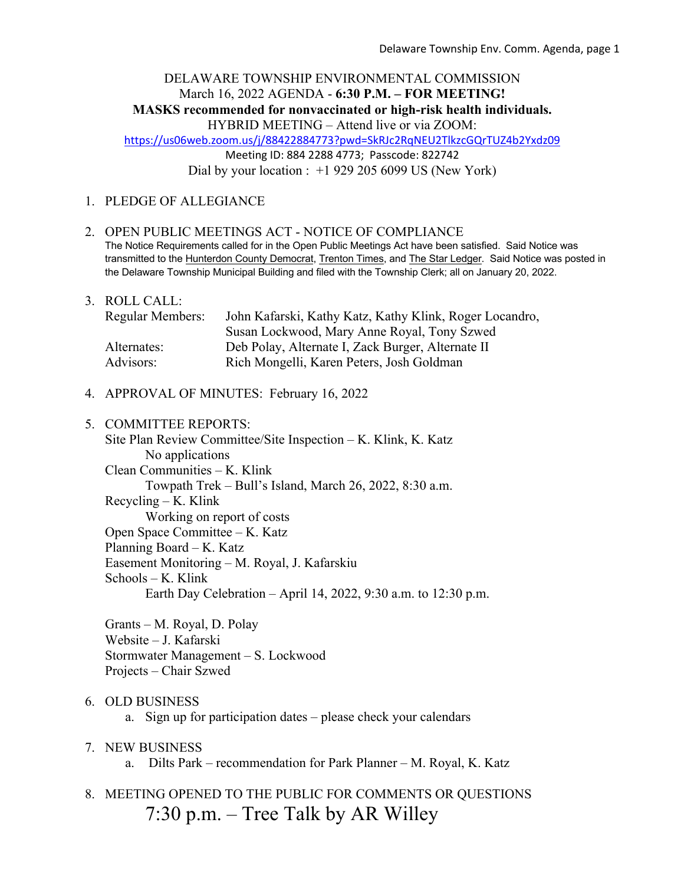# DELAWARE TOWNSHIP ENVIRONMENTAL COMMISSION March 16, 2022 AGENDA - **6:30 P.M. – FOR MEETING! MASKS recommended for nonvaccinated or high-risk health individuals.**

HYBRID MEETING – Attend live or via ZOOM:

https://us06web.zoom.us/j/88422884773?pwd=SkRJc2RqNEU2TlkzcGQrTUZ4b2Yxdz09

Meeting ID: 884 2288 4773; Passcode: 822742

Dial by your location :  $+1$  929 205 6099 US (New York)

### 1. PLEDGE OF ALLEGIANCE

#### 2. OPEN PUBLIC MEETINGS ACT - NOTICE OF COMPLIANCE The Notice Requirements called for in the Open Public Meetings Act have been satisfied. Said Notice was transmitted to the Hunterdon County Democrat, Trenton Times, and The Star Ledger. Said Notice was posted in the Delaware Township Municipal Building and filed with the Township Clerk; all on January 20, 2022.

- 3. ROLL CALL: Regular Members: John Kafarski, Kathy Katz, Kathy Klink, Roger Locandro, Susan Lockwood, Mary Anne Royal, Tony Szwed Alternates: Deb Polay, Alternate I, Zack Burger, Alternate II Advisors: Rich Mongelli, Karen Peters, Josh Goldman
- 4. APPROVAL OF MINUTES: February 16, 2022

# 5. COMMITTEE REPORTS: Site Plan Review Committee/Site Inspection – K. Klink, K. Katz No applications Clean Communities – K. Klink Towpath Trek – Bull's Island, March 26, 2022, 8:30 a.m. Recycling – K. Klink Working on report of costs Open Space Committee – K. Katz Planning Board – K. Katz Easement Monitoring – M. Royal, J. Kafarskiu Schools – K. Klink Earth Day Celebration – April 14, 2022, 9:30 a.m. to 12:30 p.m.

Grants – M. Royal, D. Polay Website – J. Kafarski Stormwater Management – S. Lockwood Projects – Chair Szwed

### 6. OLD BUSINESS

a. Sign up for participation dates – please check your calendars

# 7. NEW BUSINESS

a. Dilts Park – recommendation for Park Planner – M. Royal, K. Katz

# 8. MEETING OPENED TO THE PUBLIC FOR COMMENTS OR QUESTIONS 7:30 p.m. – Tree Talk by AR Willey